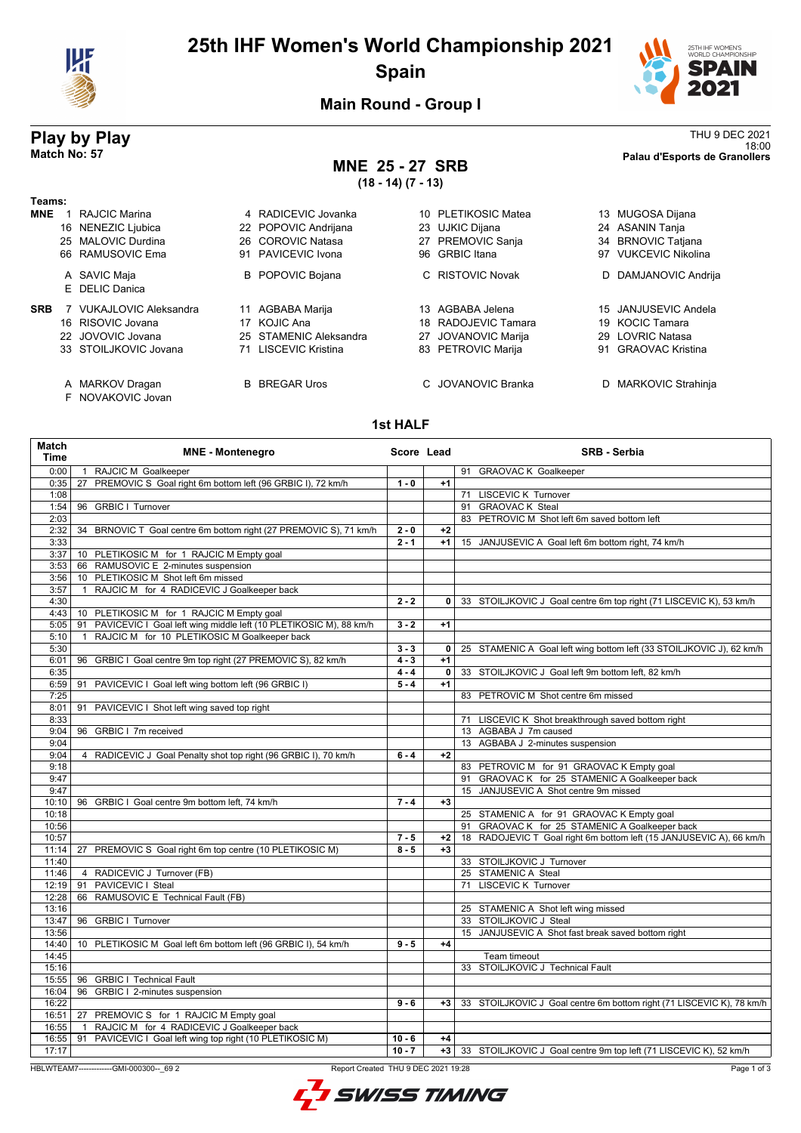

### **25th IHF Women's World Championship 2021 Spain**



18:00 **Match No: 57 Palau d'Esports de Granollers**

**Main Round - Group I**

# **Play by Play** THU 9 DEC 2021<br>18:00<br>Palau d'Esports de Granollers

F NOVAKOVIC Jovan

## **MNE 25 - 27 SRB**

**(18 - 14) (7 - 13)**

**Teams: MNE** 1 RAJCIC Marina **1 A RADICEVIC Jovanka** 10 PLETIKOSIC Matea 13 MUGOSA Dijana<br>16 NENEZIC Liubica 22 POPOVIC Andriiana 23 UJKIC Diiana 24 ASANIN Tania 22 POPOVIC Andrijana 25 MALOVIC Durdina 26 COROVIC Natasa 27 PREMOVIC Sanja 34 BRNOVIC Tatjana 66 RAMUSOVIC Ema 91 PAVICEVIC Ivona 96 GRBIC Itana 97 VUKCEVIC Nikolina A SAVIC Maja **B** POPOVIC Bojana C RISTOVIC Novak D DAMJANOVIC Andrija E DELIC Danica **SRB** 7 VUKAJLOVIC Aleksandra 11 AGBABA Marija 13 AGBABA Jelena 15 JANJUSEVIC Andela 16 RISOVIC Jovana 17 KOJIC Ana 18 RADOJEVIC Tamara 19 KOCIC Tamara 22 JOVOVIC Jovana 25 STAMENIC Aleksandra 27 JOVANOVIC Marija 29 LOVRIC Natasa 33 STOILJKOVIC Jovana A MARKOV Dragan B BREGAR Uros C JOVANOVIC Branka D MARKOVIC Strahinja

#### **1st HALF**

| Match<br><b>Time</b> |                                                     | <b>MNE - Montenegro</b>                                              | Score Lead |                | <b>SRB - Serbia</b>                                                    |
|----------------------|-----------------------------------------------------|----------------------------------------------------------------------|------------|----------------|------------------------------------------------------------------------|
| 0:00                 | RAJCIC M Goalkeeper<br>$\mathbf{1}$                 |                                                                      |            |                | 91 GRAOVAC K Goalkeeper                                                |
| 0:35                 |                                                     | 27 PREMOVIC S Goal right 6m bottom left (96 GRBIC I), 72 km/h        | $1 - 0$    | $+1$           |                                                                        |
| 1:08                 |                                                     |                                                                      |            |                | 71 LISCEVIC K Turnover                                                 |
| 1:54                 | 96 GRBIC I Turnover                                 |                                                                      |            |                | 91 GRAOVAC K Steal                                                     |
| 2:03                 |                                                     |                                                                      |            |                | 83 PETROVIC M Shot left 6m saved bottom left                           |
| 2:32                 |                                                     | 34 BRNOVIC T Goal centre 6m bottom right (27 PREMOVIC S), 71 km/h    | $2 - 0$    | $+2$           |                                                                        |
| 3:33                 |                                                     |                                                                      | $2 - 1$    | $+1$           | 15 JANJUSEVIC A Goal left 6m bottom right, 74 km/h                     |
| 3:37                 |                                                     | 10 PLETIKOSIC M for 1 RAJCIC M Empty goal                            |            |                |                                                                        |
| 3:53                 | 66 RAMUSOVIC E 2-minutes suspension                 |                                                                      |            |                |                                                                        |
| 3:56                 | 10 PLETIKOSIC M Shot left 6m missed                 |                                                                      |            |                |                                                                        |
| 3:57                 |                                                     | 1 RAJCIC M for 4 RADICEVIC J Goalkeeper back                         |            |                |                                                                        |
| 4:30                 |                                                     |                                                                      | $2 - 2$    |                | 0 33 STOILJKOVIC J Goal centre 6m top right (71 LISCEVIC K), 53 km/h   |
| 4:43                 |                                                     | 10 PLETIKOSIC M for 1 RAJCIC M Empty goal                            |            |                |                                                                        |
| 5:05                 |                                                     | 91 PAVICEVIC I Goal left wing middle left (10 PLETIKOSIC M), 88 km/h | $3 - 2$    | $+1$           |                                                                        |
| 5:10                 |                                                     | 1 RAJCIC M for 10 PLETIKOSIC M Goalkeeper back                       |            |                |                                                                        |
| 5:30                 |                                                     |                                                                      | $3 - 3$    | $\overline{0}$ | 25 STAMENIC A Goal left wing bottom left (33 STOILJKOVIC J), 62 km/h   |
| 6:01                 |                                                     | 96 GRBIC I Goal centre 9m top right (27 PREMOVIC S), 82 km/h         | $4 - 3$    | $+1$           |                                                                        |
| 6:35                 |                                                     |                                                                      | $4 - 4$    | 0              | 33 STOILJKOVIC J Goal left 9m bottom left, 82 km/h                     |
| 6:59                 |                                                     | 91 PAVICEVIC I Goal left wing bottom left (96 GRBIC I)               | $5 - 4$    | $+1$           |                                                                        |
| 7:25                 |                                                     |                                                                      |            |                | 83 PETROVIC M Shot centre 6m missed                                    |
| 8:01                 |                                                     | 91 PAVICEVIC I Shot left wing saved top right                        |            |                |                                                                        |
| 8:33                 |                                                     |                                                                      |            |                | 71 LISCEVIC K Shot breakthrough saved bottom right                     |
| 9:04                 | 96 GRBIC I 7m received                              |                                                                      |            |                | 13 AGBABA J 7m caused                                                  |
| 9:04                 |                                                     |                                                                      |            |                | 13 AGBABA J 2-minutes suspension                                       |
| 9:04                 |                                                     | 4 RADICEVIC J Goal Penalty shot top right (96 GRBIC I), 70 km/h      | $6 - 4$    | $+2$           |                                                                        |
| 9:18                 |                                                     |                                                                      |            |                | 83 PETROVIC M for 91 GRAOVAC K Empty goal                              |
| 9:47                 |                                                     |                                                                      |            |                | 91 GRAOVAC K for 25 STAMENIC A Goalkeeper back                         |
| 9:47                 |                                                     |                                                                      |            |                | 15 JANJUSEVIC A Shot centre 9m missed                                  |
| 10:10                |                                                     | 96 GRBIC I Goal centre 9m bottom left, 74 km/h                       | $7 - 4$    | $+3$           |                                                                        |
| 10:18                |                                                     |                                                                      |            |                | 25 STAMENIC A for 91 GRAOVAC K Empty goal                              |
| 10:56                |                                                     |                                                                      |            |                | 91 GRAOVAC K for 25 STAMENIC A Goalkeeper back                         |
| 10:57                |                                                     |                                                                      | $7 - 5$    | $+2$           | 18 RADOJEVIC T Goal right 6m bottom left (15 JANJUSEVIC A), 66 km/h    |
| 11:14                |                                                     | 27 PREMOVIC S Goal right 6m top centre (10 PLETIKOSIC M)             | $8 - 5$    | $+3$           |                                                                        |
| 11:40                |                                                     |                                                                      |            |                | 33 STOILJKOVIC J Turnover                                              |
| 11:46<br>12:19       | 4 RADICEVIC J Turnover (FB)<br>91 PAVICEVIC I Steal |                                                                      |            |                | 25 STAMENIC A Steal<br>71 LISCEVIC K Turnover                          |
|                      |                                                     |                                                                      |            |                |                                                                        |
| 12:28<br>13:16       | 66 RAMUSOVIC E Technical Fault (FB)                 |                                                                      |            |                | 25 STAMENIC A Shot left wing missed                                    |
| 13:47                | 96 GRBIC I Turnover                                 |                                                                      |            |                | 33 STOILJKOVIC J Steal                                                 |
| 13:56                |                                                     |                                                                      |            |                | 15 JANJUSEVIC A Shot fast break saved bottom right                     |
| 14:40                |                                                     |                                                                      | $9 - 5$    | $+4$           |                                                                        |
| 14:45                |                                                     | 10 PLETIKOSIC M Goal left 6m bottom left (96 GRBIC I), 54 km/h       |            |                | Team timeout                                                           |
| 15:16                |                                                     |                                                                      |            |                | 33 STOILJKOVIC J Technical Fault                                       |
| 15:55                | 96 GRBIC I Technical Fault                          |                                                                      |            |                |                                                                        |
| 16:04                | 96 GRBIC I 2-minutes suspension                     |                                                                      |            |                |                                                                        |
| 16:22                |                                                     |                                                                      | $9 - 6$    | $+3$           | 33 STOILJKOVIC J Goal centre 6m bottom right (71 LISCEVIC K), 78 km/h  |
| 16:51                |                                                     | 27 PREMOVIC S for 1 RAJCIC M Empty goal                              |            |                |                                                                        |
| 16:55                |                                                     | 1 RAJCIC M for 4 RADICEVIC J Goalkeeper back                         |            |                |                                                                        |
| 16:55                |                                                     | 91 PAVICEVIC I Goal left wing top right (10 PLETIKOSIC M)            | $10 - 6$   | $+4$           |                                                                        |
| 17:17                |                                                     |                                                                      | $10 - 7$   |                | +3   33 STOILJKOVIC J Goal centre 9m top left (71 LISCEVIC K), 52 km/h |
|                      |                                                     |                                                                      |            |                |                                                                        |

HBLWTEAM7-------------GMI-000300--\_69 2 Report Created THU 9 DEC 2021 19:28

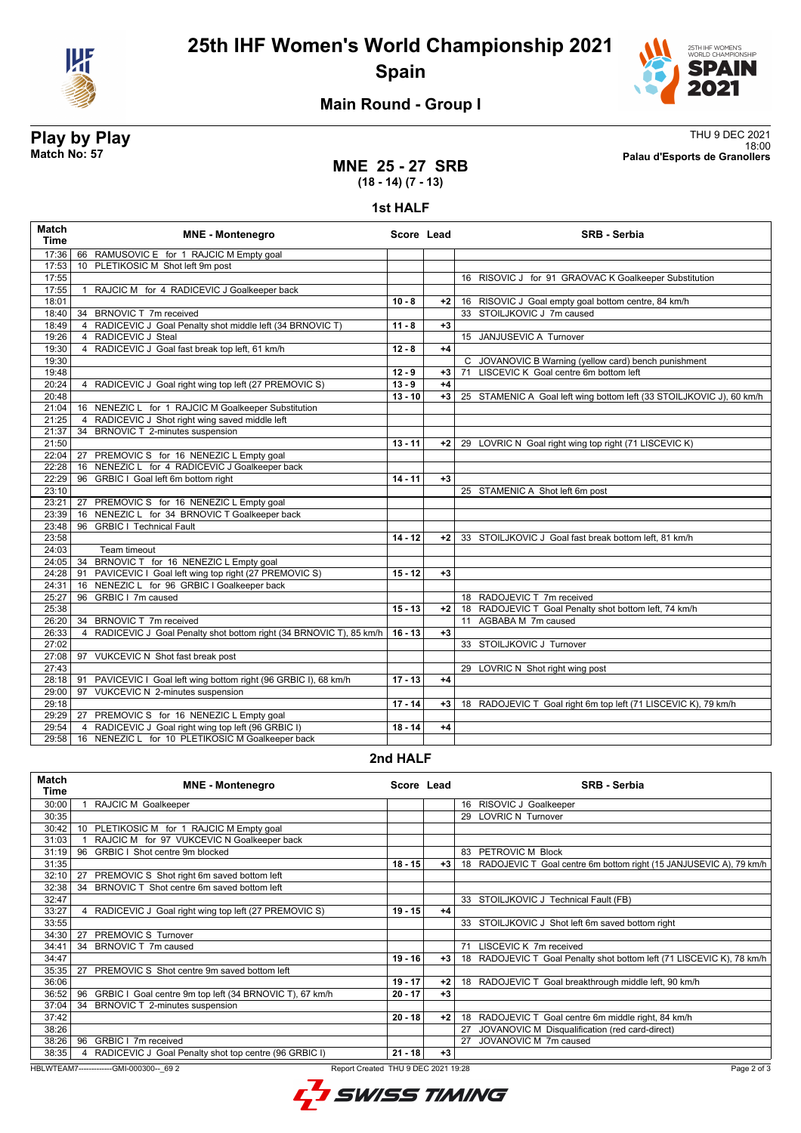



#### **Main Round - Group I**

**Play by Play**<br>Match No: 57<br>Palau d'Esports de Granollers 18:00 **Match No: 57 Palau d'Esports de Granollers**

#### **MNE 25 - 27 SRB (18 - 14) (7 - 13)**

#### **1st HALF**

| 17:36<br>66 RAMUSOVIC E for 1 RAJCIC M Empty goal<br>PLETIKOSIC M Shot left 9m post<br>17:53<br>10 <sup>1</sup><br>17:55<br>16 RISOVIC J for 91 GRAOVAC K Goalkeeper Substitution<br>17:55<br>RAJCIC M for 4 RADICEVIC J Goalkeeper back<br>$\overline{1}$<br>18:01<br>$10 - 8$<br>16 RISOVIC J Goal empty goal bottom centre, 84 km/h<br>$+2$<br>33 STOILJKOVIC J 7m caused<br>34 BRNOVIC T 7m received<br>18:40<br>4 RADICEVIC J Goal Penalty shot middle left (34 BRNOVIC T)<br>$11 - 8$<br>18:49<br>$+3$<br>4 RADICEVIC J Steal<br>15 JANJUSEVIC A Turnover<br>19:26<br>4 RADICEVIC J Goal fast break top left, 61 km/h<br>19:30<br>$12 - 8$<br>$+4$<br>19:30<br>C JOVANOVIC B Warning (yellow card) bench punishment<br>71 LISCEVIC K Goal centre 6m bottom left<br>19:48<br>$12 - 9$<br>$+3$<br>$13 - 9$<br>$+4$<br>20:24<br>4 RADICEVIC J Goal right wing top left (27 PREMOVIC S)<br>20:48<br>$13 - 10$<br>$+3$<br>25 STAMENIC A Goal left wing bottom left (33 STOILJKOVIC J), 60 km/h<br>16 NENEZIC L for 1 RAJCIC M Goalkeeper Substitution<br>21:04<br>4 RADICEVIC J Shot right wing saved middle left<br>21:25<br>21:37<br>34 BRNOVIC T 2-minutes suspension<br>21:50<br>$13 - 11$<br>29 LOVRIC N Goal right wing top right (71 LISCEVIC K)<br>+2<br>PREMOVIC S for 16 NENEZIC L Empty goal<br>22:04<br>27<br>16 NENEZIC L for 4 RADICEVIC J Goalkeeper back<br>22:28<br>96 GRBIC I Goal left 6m bottom right<br>$14 - 11$<br>22:29<br>$+3$<br>23:10<br>25 STAMENIC A Shot left 6m post<br>23:21<br>27<br>PREMOVIC S for 16 NENEZIC L Empty goal | Match<br><b>Time</b> | <b>MNE</b> - Montenegro                          | Score Lead | <b>SRB - Serbia</b> |
|---------------------------------------------------------------------------------------------------------------------------------------------------------------------------------------------------------------------------------------------------------------------------------------------------------------------------------------------------------------------------------------------------------------------------------------------------------------------------------------------------------------------------------------------------------------------------------------------------------------------------------------------------------------------------------------------------------------------------------------------------------------------------------------------------------------------------------------------------------------------------------------------------------------------------------------------------------------------------------------------------------------------------------------------------------------------------------------------------------------------------------------------------------------------------------------------------------------------------------------------------------------------------------------------------------------------------------------------------------------------------------------------------------------------------------------------------------------------------------------------------------------------------------------------------------------|----------------------|--------------------------------------------------|------------|---------------------|
|                                                                                                                                                                                                                                                                                                                                                                                                                                                                                                                                                                                                                                                                                                                                                                                                                                                                                                                                                                                                                                                                                                                                                                                                                                                                                                                                                                                                                                                                                                                                                               |                      |                                                  |            |                     |
|                                                                                                                                                                                                                                                                                                                                                                                                                                                                                                                                                                                                                                                                                                                                                                                                                                                                                                                                                                                                                                                                                                                                                                                                                                                                                                                                                                                                                                                                                                                                                               |                      |                                                  |            |                     |
|                                                                                                                                                                                                                                                                                                                                                                                                                                                                                                                                                                                                                                                                                                                                                                                                                                                                                                                                                                                                                                                                                                                                                                                                                                                                                                                                                                                                                                                                                                                                                               |                      |                                                  |            |                     |
|                                                                                                                                                                                                                                                                                                                                                                                                                                                                                                                                                                                                                                                                                                                                                                                                                                                                                                                                                                                                                                                                                                                                                                                                                                                                                                                                                                                                                                                                                                                                                               |                      |                                                  |            |                     |
|                                                                                                                                                                                                                                                                                                                                                                                                                                                                                                                                                                                                                                                                                                                                                                                                                                                                                                                                                                                                                                                                                                                                                                                                                                                                                                                                                                                                                                                                                                                                                               |                      |                                                  |            |                     |
|                                                                                                                                                                                                                                                                                                                                                                                                                                                                                                                                                                                                                                                                                                                                                                                                                                                                                                                                                                                                                                                                                                                                                                                                                                                                                                                                                                                                                                                                                                                                                               |                      |                                                  |            |                     |
|                                                                                                                                                                                                                                                                                                                                                                                                                                                                                                                                                                                                                                                                                                                                                                                                                                                                                                                                                                                                                                                                                                                                                                                                                                                                                                                                                                                                                                                                                                                                                               |                      |                                                  |            |                     |
|                                                                                                                                                                                                                                                                                                                                                                                                                                                                                                                                                                                                                                                                                                                                                                                                                                                                                                                                                                                                                                                                                                                                                                                                                                                                                                                                                                                                                                                                                                                                                               |                      |                                                  |            |                     |
|                                                                                                                                                                                                                                                                                                                                                                                                                                                                                                                                                                                                                                                                                                                                                                                                                                                                                                                                                                                                                                                                                                                                                                                                                                                                                                                                                                                                                                                                                                                                                               |                      |                                                  |            |                     |
|                                                                                                                                                                                                                                                                                                                                                                                                                                                                                                                                                                                                                                                                                                                                                                                                                                                                                                                                                                                                                                                                                                                                                                                                                                                                                                                                                                                                                                                                                                                                                               |                      |                                                  |            |                     |
|                                                                                                                                                                                                                                                                                                                                                                                                                                                                                                                                                                                                                                                                                                                                                                                                                                                                                                                                                                                                                                                                                                                                                                                                                                                                                                                                                                                                                                                                                                                                                               |                      |                                                  |            |                     |
|                                                                                                                                                                                                                                                                                                                                                                                                                                                                                                                                                                                                                                                                                                                                                                                                                                                                                                                                                                                                                                                                                                                                                                                                                                                                                                                                                                                                                                                                                                                                                               |                      |                                                  |            |                     |
|                                                                                                                                                                                                                                                                                                                                                                                                                                                                                                                                                                                                                                                                                                                                                                                                                                                                                                                                                                                                                                                                                                                                                                                                                                                                                                                                                                                                                                                                                                                                                               |                      |                                                  |            |                     |
|                                                                                                                                                                                                                                                                                                                                                                                                                                                                                                                                                                                                                                                                                                                                                                                                                                                                                                                                                                                                                                                                                                                                                                                                                                                                                                                                                                                                                                                                                                                                                               |                      |                                                  |            |                     |
|                                                                                                                                                                                                                                                                                                                                                                                                                                                                                                                                                                                                                                                                                                                                                                                                                                                                                                                                                                                                                                                                                                                                                                                                                                                                                                                                                                                                                                                                                                                                                               |                      |                                                  |            |                     |
|                                                                                                                                                                                                                                                                                                                                                                                                                                                                                                                                                                                                                                                                                                                                                                                                                                                                                                                                                                                                                                                                                                                                                                                                                                                                                                                                                                                                                                                                                                                                                               |                      |                                                  |            |                     |
|                                                                                                                                                                                                                                                                                                                                                                                                                                                                                                                                                                                                                                                                                                                                                                                                                                                                                                                                                                                                                                                                                                                                                                                                                                                                                                                                                                                                                                                                                                                                                               |                      |                                                  |            |                     |
|                                                                                                                                                                                                                                                                                                                                                                                                                                                                                                                                                                                                                                                                                                                                                                                                                                                                                                                                                                                                                                                                                                                                                                                                                                                                                                                                                                                                                                                                                                                                                               |                      |                                                  |            |                     |
|                                                                                                                                                                                                                                                                                                                                                                                                                                                                                                                                                                                                                                                                                                                                                                                                                                                                                                                                                                                                                                                                                                                                                                                                                                                                                                                                                                                                                                                                                                                                                               |                      |                                                  |            |                     |
|                                                                                                                                                                                                                                                                                                                                                                                                                                                                                                                                                                                                                                                                                                                                                                                                                                                                                                                                                                                                                                                                                                                                                                                                                                                                                                                                                                                                                                                                                                                                                               |                      |                                                  |            |                     |
|                                                                                                                                                                                                                                                                                                                                                                                                                                                                                                                                                                                                                                                                                                                                                                                                                                                                                                                                                                                                                                                                                                                                                                                                                                                                                                                                                                                                                                                                                                                                                               |                      |                                                  |            |                     |
|                                                                                                                                                                                                                                                                                                                                                                                                                                                                                                                                                                                                                                                                                                                                                                                                                                                                                                                                                                                                                                                                                                                                                                                                                                                                                                                                                                                                                                                                                                                                                               |                      |                                                  |            |                     |
|                                                                                                                                                                                                                                                                                                                                                                                                                                                                                                                                                                                                                                                                                                                                                                                                                                                                                                                                                                                                                                                                                                                                                                                                                                                                                                                                                                                                                                                                                                                                                               | 23:39                | NENEZIC L for 34 BRNOVIC T Goalkeeper back<br>16 |            |                     |
| 96 GRBIC   Technical Fault<br>23:48                                                                                                                                                                                                                                                                                                                                                                                                                                                                                                                                                                                                                                                                                                                                                                                                                                                                                                                                                                                                                                                                                                                                                                                                                                                                                                                                                                                                                                                                                                                           |                      |                                                  |            |                     |
| 23:58<br>$14 - 12$<br>33 STOILJKOVIC J Goal fast break bottom left, 81 km/h<br>$+2$                                                                                                                                                                                                                                                                                                                                                                                                                                                                                                                                                                                                                                                                                                                                                                                                                                                                                                                                                                                                                                                                                                                                                                                                                                                                                                                                                                                                                                                                           |                      |                                                  |            |                     |
| 24:03<br>Team timeout                                                                                                                                                                                                                                                                                                                                                                                                                                                                                                                                                                                                                                                                                                                                                                                                                                                                                                                                                                                                                                                                                                                                                                                                                                                                                                                                                                                                                                                                                                                                         |                      |                                                  |            |                     |
| 24:05 34 BRNOVIC T for 16 NENEZIC L Empty goal                                                                                                                                                                                                                                                                                                                                                                                                                                                                                                                                                                                                                                                                                                                                                                                                                                                                                                                                                                                                                                                                                                                                                                                                                                                                                                                                                                                                                                                                                                                |                      |                                                  |            |                     |
| PAVICEVIC I Goal left wing top right (27 PREMOVIC S)<br>24:28<br>$15 - 12$<br>91<br>$+3$                                                                                                                                                                                                                                                                                                                                                                                                                                                                                                                                                                                                                                                                                                                                                                                                                                                                                                                                                                                                                                                                                                                                                                                                                                                                                                                                                                                                                                                                      |                      |                                                  |            |                     |
| 16 NENEZIC L for 96 GRBIC I Goalkeeper back<br>24:31                                                                                                                                                                                                                                                                                                                                                                                                                                                                                                                                                                                                                                                                                                                                                                                                                                                                                                                                                                                                                                                                                                                                                                                                                                                                                                                                                                                                                                                                                                          |                      |                                                  |            |                     |
| 96 GRBIC I 7m caused<br>25:27<br>18 RADOJEVIC T 7m received                                                                                                                                                                                                                                                                                                                                                                                                                                                                                                                                                                                                                                                                                                                                                                                                                                                                                                                                                                                                                                                                                                                                                                                                                                                                                                                                                                                                                                                                                                   |                      |                                                  |            |                     |
| 25:38<br>$15 - 13$<br>18 RADOJEVIC T Goal Penalty shot bottom left, 74 km/h<br>$+2$                                                                                                                                                                                                                                                                                                                                                                                                                                                                                                                                                                                                                                                                                                                                                                                                                                                                                                                                                                                                                                                                                                                                                                                                                                                                                                                                                                                                                                                                           |                      |                                                  |            |                     |
| 11 AGBABA M 7m caused<br>34 BRNOVIC T 7m received<br>26:20                                                                                                                                                                                                                                                                                                                                                                                                                                                                                                                                                                                                                                                                                                                                                                                                                                                                                                                                                                                                                                                                                                                                                                                                                                                                                                                                                                                                                                                                                                    |                      |                                                  |            |                     |
| 26:33<br>RADICEVIC J Goal Penalty shot bottom right (34 BRNOVIC T), 85 km/h<br>$+3$<br>$16 - 13$<br>$\overline{4}$                                                                                                                                                                                                                                                                                                                                                                                                                                                                                                                                                                                                                                                                                                                                                                                                                                                                                                                                                                                                                                                                                                                                                                                                                                                                                                                                                                                                                                            |                      |                                                  |            |                     |
| 27:02<br>33 STOILJKOVIC J Turnover                                                                                                                                                                                                                                                                                                                                                                                                                                                                                                                                                                                                                                                                                                                                                                                                                                                                                                                                                                                                                                                                                                                                                                                                                                                                                                                                                                                                                                                                                                                            |                      |                                                  |            |                     |
| 27:08<br>97 VUKCEVIC N Shot fast break post                                                                                                                                                                                                                                                                                                                                                                                                                                                                                                                                                                                                                                                                                                                                                                                                                                                                                                                                                                                                                                                                                                                                                                                                                                                                                                                                                                                                                                                                                                                   |                      |                                                  |            |                     |
| 27:43<br>29 LOVRIC N Shot right wing post                                                                                                                                                                                                                                                                                                                                                                                                                                                                                                                                                                                                                                                                                                                                                                                                                                                                                                                                                                                                                                                                                                                                                                                                                                                                                                                                                                                                                                                                                                                     |                      |                                                  |            |                     |
| $17 - 13$<br>$28:18$ 91<br>PAVICEVIC I Goal left wing bottom right (96 GRBIC I), 68 km/h<br>$+4$                                                                                                                                                                                                                                                                                                                                                                                                                                                                                                                                                                                                                                                                                                                                                                                                                                                                                                                                                                                                                                                                                                                                                                                                                                                                                                                                                                                                                                                              |                      |                                                  |            |                     |
| VUKCEVIC N 2-minutes suspension<br>29:00<br>97                                                                                                                                                                                                                                                                                                                                                                                                                                                                                                                                                                                                                                                                                                                                                                                                                                                                                                                                                                                                                                                                                                                                                                                                                                                                                                                                                                                                                                                                                                                |                      |                                                  |            |                     |
| 29:18<br>$17 - 14$<br>18 RADOJEVIC T Goal right 6m top left (71 LISCEVIC K), 79 km/h<br>$+3$                                                                                                                                                                                                                                                                                                                                                                                                                                                                                                                                                                                                                                                                                                                                                                                                                                                                                                                                                                                                                                                                                                                                                                                                                                                                                                                                                                                                                                                                  |                      |                                                  |            |                     |
| 27 PREMOVIC S for 16 NENEZIC L Empty goal<br>29:29                                                                                                                                                                                                                                                                                                                                                                                                                                                                                                                                                                                                                                                                                                                                                                                                                                                                                                                                                                                                                                                                                                                                                                                                                                                                                                                                                                                                                                                                                                            |                      |                                                  |            |                     |
| 4 RADICEVIC J Goal right wing top left (96 GRBIC I)<br>29:54<br>$18 - 14$<br>$+4$                                                                                                                                                                                                                                                                                                                                                                                                                                                                                                                                                                                                                                                                                                                                                                                                                                                                                                                                                                                                                                                                                                                                                                                                                                                                                                                                                                                                                                                                             |                      |                                                  |            |                     |
| 16 NENEZIC L for 10 PLETIKOSIC M Goalkeeper back<br>29:58                                                                                                                                                                                                                                                                                                                                                                                                                                                                                                                                                                                                                                                                                                                                                                                                                                                                                                                                                                                                                                                                                                                                                                                                                                                                                                                                                                                                                                                                                                     |                      |                                                  |            |                     |

#### **2nd HALF**

| <b>Match</b><br>Time | <b>MNE - Montenegro</b>                                                         | Score Lead |      | <b>SRB - Serbia</b>                                                   |
|----------------------|---------------------------------------------------------------------------------|------------|------|-----------------------------------------------------------------------|
| 30:00                | RAJCIC M Goalkeeper                                                             |            |      | 16 RISOVIC J Goalkeeper                                               |
| 30:35                |                                                                                 |            |      | 29 LOVRIC N Turnover                                                  |
| 30:42                | PLETIKOSIC M for 1 RAJCIC M Empty goal<br>10                                    |            |      |                                                                       |
| 31:03                | RAJCIC M for 97 VUKCEVIC N Goalkeeper back                                      |            |      |                                                                       |
| 31:19                | GRBIC I Shot centre 9m blocked<br>96                                            |            |      | 83 PETROVIC M Block                                                   |
| 31:35                |                                                                                 | $18 - 15$  | $+3$ | 18 RADOJEVIC T Goal centre 6m bottom right (15 JANJUSEVIC A), 79 km/h |
| 32:10                | PREMOVIC S Shot right 6m saved bottom left<br>27                                |            |      |                                                                       |
| 32:38                | BRNOVIC T Shot centre 6m saved bottom left<br>34                                |            |      |                                                                       |
| 32:47                |                                                                                 |            |      | 33 STOILJKOVIC J Technical Fault (FB)                                 |
| 33:27                | RADICEVIC J Goal right wing top left (27 PREMOVIC S)                            | $19 - 15$  | $+4$ |                                                                       |
| 33:55                |                                                                                 |            |      | 33 STOILJKOVIC J Shot left 6m saved bottom right                      |
| 34:30                | <b>PREMOVIC S Turnover</b><br>27                                                |            |      |                                                                       |
| 34:41                | BRNOVIC T 7m caused<br>34                                                       |            |      | 71 LISCEVIC K 7m received                                             |
| 34:47                |                                                                                 | $19 - 16$  | $+3$ | 18 RADOJEVIC T Goal Penalty shot bottom left (71 LISCEVIC K), 78 km/h |
| 35:35                | 27<br>PREMOVIC S Shot centre 9m saved bottom left                               |            |      |                                                                       |
| 36:06                |                                                                                 | $19 - 17$  | +2   | 18 RADOJEVIC T Goal breakthrough middle left, 90 km/h                 |
| 36:52                | GRBIC I Goal centre 9m top left (34 BRNOVIC T), 67 km/h<br>96                   | $20 - 17$  | $+3$ |                                                                       |
| 37:04                | BRNOVIC T 2-minutes suspension<br>34                                            |            |      |                                                                       |
| 37:42                |                                                                                 | $20 - 18$  | $+2$ | 18 RADOJEVIC T Goal centre 6m middle right, 84 km/h                   |
| 38:26                |                                                                                 |            |      | 27 JOVANOVIC M Disqualification (red card-direct)                     |
| 38:26                | GRBIC I 7m received<br>96                                                       |            |      | 27 JOVANOVIC M 7m caused                                              |
| 38:35                | RADICEVIC J Goal Penalty shot top centre (96 GRBIC I)<br>4                      | $21 - 18$  | $+3$ |                                                                       |
|                      | HBLWTEAM7--------------GMI-000300-- 69 2<br>Report Created THU 9 DEC 2021 19:28 |            |      | Page 2 of 3                                                           |